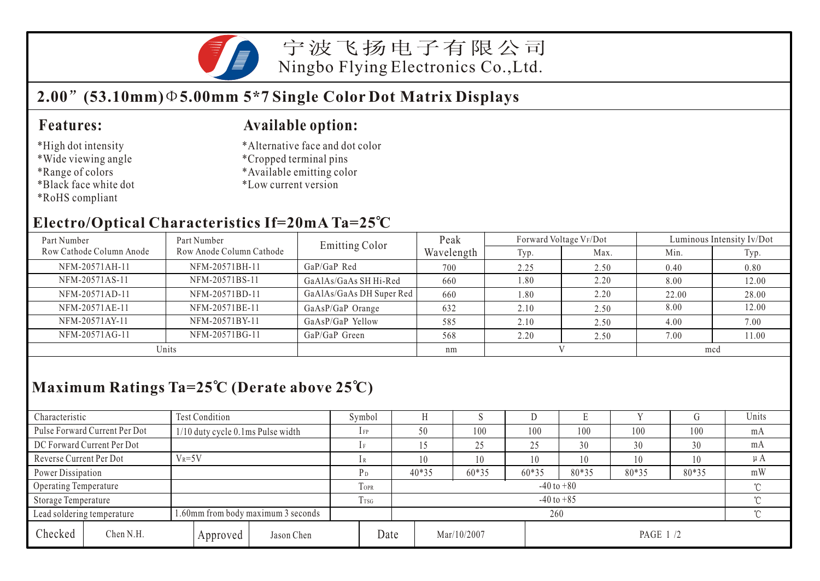

宁波飞扬电子有限公司 Ningbo Flying Electronics Co.,Ltd.

## **2.00 (53.10mm) 5.00mm 5\*7 Single Color Dot Matrix Displays**

#### **Features:**

- \*High dot intensity
- \*Wide viewing angle
- \*Range of colors
- \*Black face white dot
- \*RoHS compliant

#### **Available option:**

- \*Alternative face and dot color
- \*Cropped terminal pins
- \*Available emitting color
- \*Low current version

#### **Electro/Optical Characteristics If=20mA Ta=25 C**

| Part Number              | Part Number              | <b>Emitting Color</b>    | Peak       |      | Forward Voltage VF/Dot | Luminous Intensity Iv/Dot |       |  |
|--------------------------|--------------------------|--------------------------|------------|------|------------------------|---------------------------|-------|--|
| Row Cathode Column Anode | Row Anode Column Cathode |                          | Wavelength | Typ. | Max.                   | Min.                      | Typ.  |  |
| NFM-20571AH-11           | NFM-20571BH-11           | $GaP/GaP$ Red            | 700        | 2.25 | 2.50                   | 0.40                      | 0.80  |  |
| NFM-20571AS-11           | NFM-20571BS-11           | GaAlAs/GaAs SH Hi-Red    | 660        | 1.80 | 2.20                   | 8.00                      | 12.00 |  |
| NFM-20571AD-11           | NFM-20571BD-11           | GaAlAs/GaAs DH Super Red | 660        | 1.80 | 2.20                   | 22.00                     | 28.00 |  |
| NFM-20571AE-11           | NFM-20571BE-11           | GaAsP/GaP Orange         | 632        | 2.10 | 2.50                   | 8.00                      | 12.00 |  |
| NFM-20571AY-11           | NFM-20571BY-11           | GaAsP/GaP Yellow         | 585        | 2.10 | 2.50                   | 4.00                      | 7.00  |  |
| NFM-20571AG-11           | NFM-20571BG-11           | GaP/GaP Green            | 568        | 2.20 | 2.50                   | 7.00                      | 11.00 |  |
| Units                    |                          |                          | nm         |      |                        | mcd                       |       |  |

## **Maximum Ratings Ta=25 C (Derate above 25 C)**

| Characteristic          |                               | <b>Test Condition</b>                |          |                  |                          | Symbol                   |                 |             |       | IJ    |           |       |     | Units   |  |
|-------------------------|-------------------------------|--------------------------------------|----------|------------------|--------------------------|--------------------------|-----------------|-------------|-------|-------|-----------|-------|-----|---------|--|
|                         | Pulse Forward Current Per Dot | $1/10$ duty cycle 0.1 ms Pulse width |          |                  |                          | $1$ FP                   | 50              |             | 100   | 100   | 100       | 100   | 100 | mA      |  |
|                         | DC Forward Current Per Dot    |                                      |          |                  |                          |                          |                 |             | 25    | 25    | 30        | 30    | 30  | mA      |  |
| Reverse Current Per Dot |                               | $V_R = 5V$                           |          |                  |                          |                          | 10              |             | 10    | 10    | 10        | 10    | 10  | $\mu A$ |  |
| Power Dissipation       |                               |                                      |          |                  | P <sub>D</sub>           | $40*35$                  |                 | 60*35       | 60*35 | 80*35 | 80*35     | 80*35 | mW  |         |  |
| Operating Temperature   |                               |                                      |          |                  | TOPR                     | $-40$ to $+80$<br>$\sim$ |                 |             |       |       |           |       |     |         |  |
| Storage Temperature     |                               |                                      |          | T <sub>TSG</sub> | $-40$ to $+85$<br>$\sim$ |                          |                 |             |       |       |           |       |     |         |  |
|                         | Lead soldering temperature    | 1.60mm from body maximum 3 seconds   |          |                  |                          |                          | $\gamma$<br>260 |             |       |       |           |       |     |         |  |
| Checked                 | Chen N.H.                     |                                      | Approved | Jason Chen       | Date                     |                          |                 | Mar/10/2007 |       |       | PAGE 1 /2 |       |     |         |  |